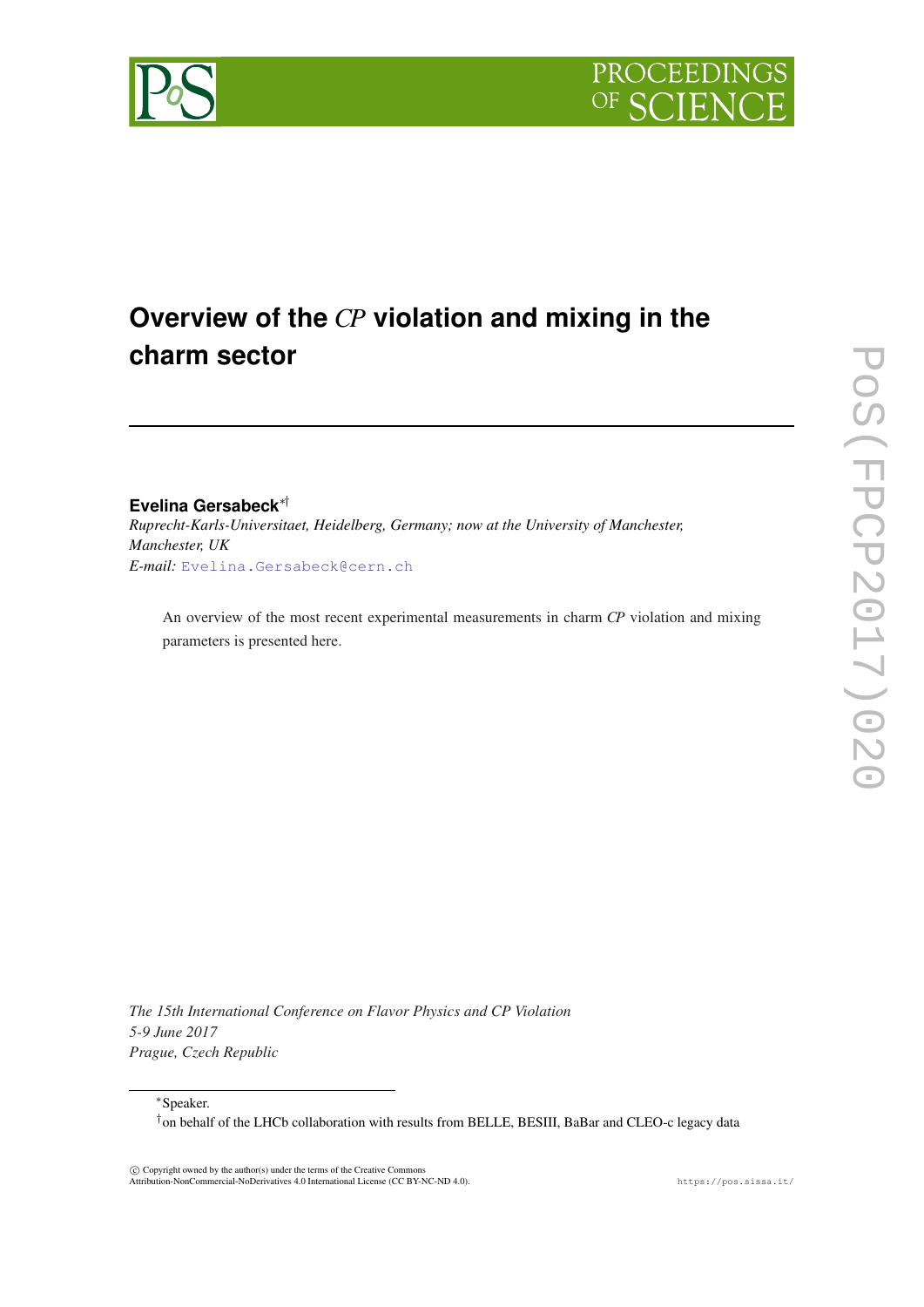

# **Overview of the** *CP* **violation and mixing in the charm sector**

**Evelina Gersabeck**∗† *Ruprecht-Karls-Universitaet, Heidelberg, Germany; now at the University of Manchester, Manchester, UK E-mail:* [Evelina.Gersabeck@cern.ch](mailto:Evelina.Gersabeck@cern.ch)

An overview of the most recent experimental measurements in charm *CP* violation and mixing parameters is presented here.

*The 15th International Conference on Flavor Physics and CP Violation 5-9 June 2017 Prague, Czech Republic*

<sup>∗</sup>Speaker.

†on behalf of the LHCb collaboration with results from BELLE, BESIII, BaBar and CLEO-c legacy data

 c Copyright owned by the author(s) under the terms of the Creative Commons Attribution-NonCommercial-NoDerivatives 4.0 International License (CC BY-NC-ND 4.0). https://pos.sissa.it/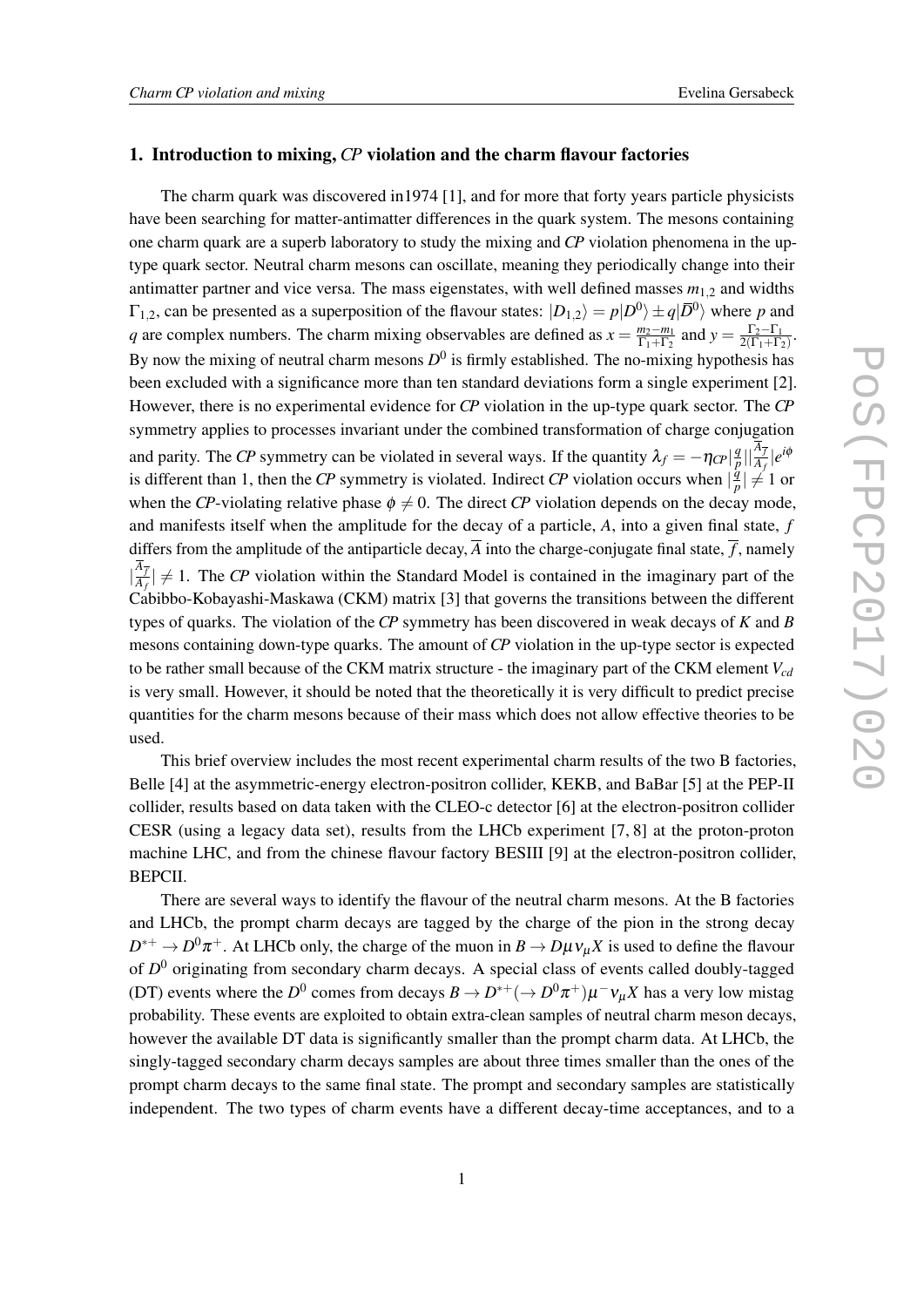#### 1. Introduction to mixing, *CP* violation and the charm flavour factories

The charm quark was discovered in1974 [1], and for more that forty years particle physicists have been searching for matter-antimatter differences in the quark system. The mesons containing one charm quark are a superb laboratory to study the mixing and *CP* violation phenomena in the uptype quark sector. Neutral charm mesons can oscillate, meaning they periodically change into their antimatter partner and vice versa. The mass eigenstates, with well defined masses  $m_{1,2}$  and widths  $\Gamma_{1,2}$ , can be presented as a superposition of the flavour states:  $|D_{1,2}\rangle = p|D^0\rangle \pm q|\bar{D}^0\rangle$  where *p* and *q* are complex numbers. The charm mixing observables are defined as  $x = \frac{m_2 - m_1}{\Gamma_1 + \Gamma_2}$  $\frac{m_2 - m_1}{\Gamma_1 + \Gamma_2}$  and  $y = \frac{\Gamma_2 - \Gamma_1}{2(\Gamma_1 + \Gamma_2)}$  $\frac{1}{2(\Gamma_1+\Gamma_2)}$ By now the mixing of neutral charm mesons  $D^0$  is firmly established. The no-mixing hypothesis has been excluded with a significance more than ten standard deviations form a single experiment [2]. However, there is no experimental evidence for *CP* violation in the up-type quark sector. The *CP* symmetry applies to processes invariant under the combined transformation of charge conjugation and parity. The *CP* symmetry can be violated in several ways. If the quantity  $\lambda_f = -\eta_{CP} \vert \frac{q}{\hbar}$  $\frac{q}{p}$  $||\frac{A_{\overline{f}}}{A_{f}}|e^{i\phi}$ is different than 1, then the CP symmetry is violated. Indirect CP violation occurs when  $\frac{q}{l}$  $\frac{q}{p}$  |  $\neq$  1 or when the *CP*-violating relative phase  $\phi \neq 0$ . The direct *CP* violation depends on the decay mode, and manifests itself when the amplitude for the decay of a particle, *A*, into a given final state, *f* differs from the amplitude of the antiparticle decay,  $\overline{A}$  into the charge-conjugate final state,  $\overline{f}$ , namely  $\frac{\overline{A}_{\overline{f}}}{\overline{A}_{f}}$  $\frac{\Delta f}{A_f}$   $\neq$  1. The *CP* violation within the Standard Model is contained in the imaginary part of the Cabibbo-Kobayashi-Maskawa (CKM) matrix [3] that governs the transitions between the different types of quarks. The violation of the *CP* symmetry has been discovered in weak decays of *K* and *B* mesons containing down-type quarks. The amount of *CP* violation in the up-type sector is expected to be rather small because of the CKM matrix structure - the imaginary part of the CKM element *Vcd* is very small. However, it should be noted that the theoretically it is very difficult to predict precise quantities for the charm mesons because of their mass which does not allow effective theories to be used.

This brief overview includes the most recent experimental charm results of the two B factories, Belle [4] at the asymmetric-energy electron-positron collider, KEKB, and BaBar [5] at the PEP-II collider, results based on data taken with the CLEO-c detector [6] at the electron-positron collider CESR (using a legacy data set), results from the LHCb experiment [7, 8] at the proton-proton machine LHC, and from the chinese flavour factory BESIII [9] at the electron-positron collider, BEPCII.

There are several ways to identify the flavour of the neutral charm mesons. At the B factories and LHCb, the prompt charm decays are tagged by the charge of the pion in the strong decay  $D^{*+} \to D^0 \pi^+$ . At LHCb only, the charge of the muon in  $B \to D \mu v_\mu X$  is used to define the flavour of *D* <sup>0</sup> originating from secondary charm decays. A special class of events called doubly-tagged (DT) events where the  $D^0$  comes from decays  $B \to D^{*+}(\to D^0 \pi^+) \mu^- \nu_\mu X$  has a very low mistag probability. These events are exploited to obtain extra-clean samples of neutral charm meson decays, however the available DT data is significantly smaller than the prompt charm data. At LHCb, the singly-tagged secondary charm decays samples are about three times smaller than the ones of the prompt charm decays to the same final state. The prompt and secondary samples are statistically independent. The two types of charm events have a different decay-time acceptances, and to a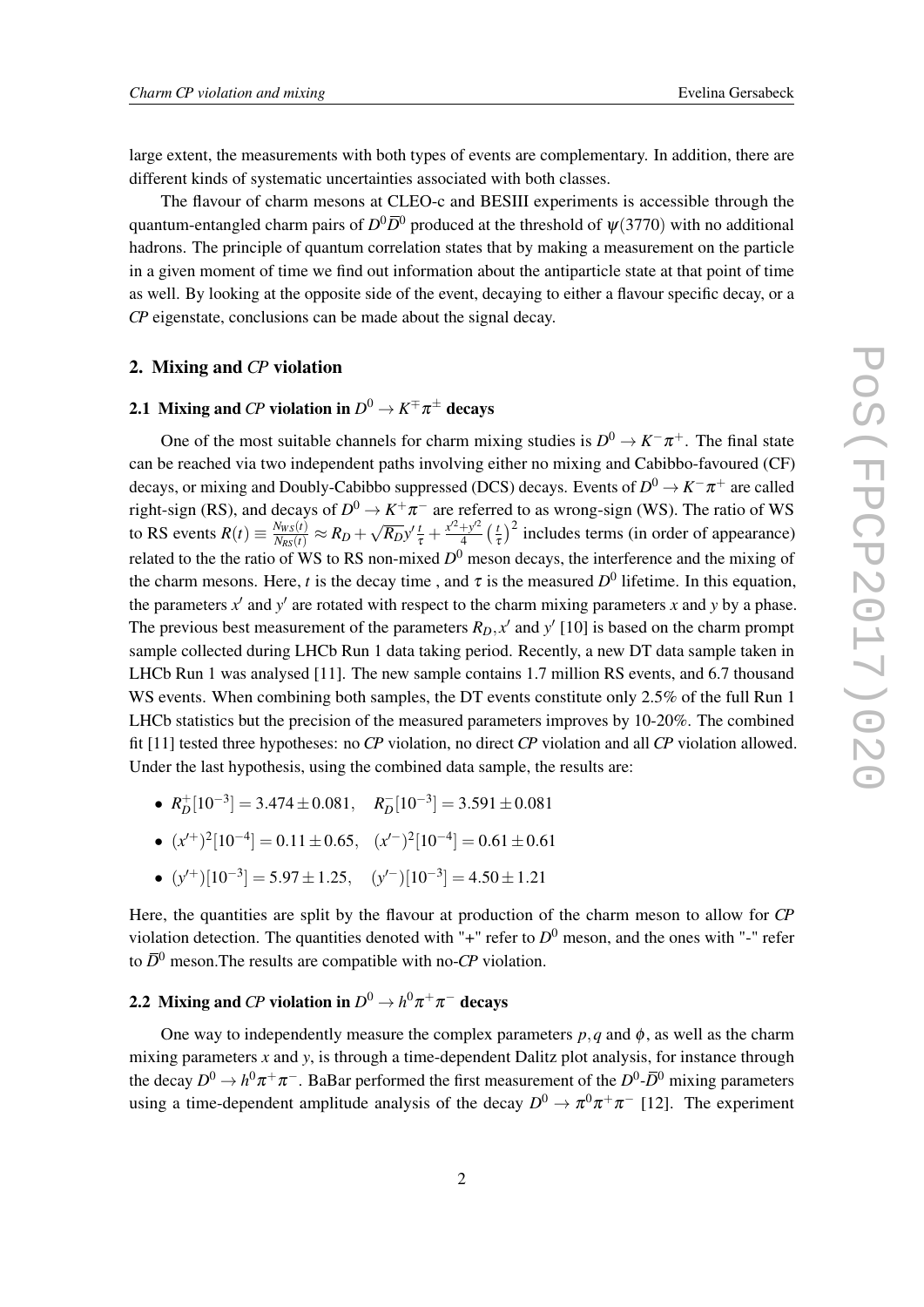large extent, the measurements with both types of events are complementary. In addition, there are different kinds of systematic uncertainties associated with both classes.

The flavour of charm mesons at CLEO-c and BESIII experiments is accessible through the quantum-entangled charm pairs of  $D^0\bar D^0$  produced at the threshold of  $\psi(3770)$  with no additional hadrons. The principle of quantum correlation states that by making a measurement on the particle in a given moment of time we find out information about the antiparticle state at that point of time as well. By looking at the opposite side of the event, decaying to either a flavour specific decay, or a *CP* eigenstate, conclusions can be made about the signal decay.

#### 2. Mixing and *CP* violation

## 2.1 Mixing and *CP* violation in  $D^0 \to K^\mp \pi^\pm$  decays

One of the most suitable channels for charm mixing studies is  $D^0 \to K^-\pi^+$ . The final state can be reached via two independent paths involving either no mixing and Cabibbo-favoured (CF) decays, or mixing and Doubly-Cabibbo suppressed (DCS) decays. Events of  $D^0 \to K^-\pi^+$  are called right-sign (RS), and decays of  $D^0 \to K^+ \pi^-$  are referred to as wrong-sign (WS). The ratio of WS to RS events  $R(t) \equiv \frac{N_{WS}(t)}{N_{RS}(t)} \approx R_D +$ √  $\sqrt{R_D}y' \frac{t}{\tau} + \frac{x'^2 + y'^2}{4}$  $rac{+y^2}{4}$   $\left(\frac{t}{\pi}\right)$  $\left(\frac{t}{\tau}\right)^2$  includes terms (in order of appearance) related to the the ratio of WS to RS non-mixed  $D^0$  meson decays, the interference and the mixing of the charm mesons. Here, *t* is the decay time, and  $\tau$  is the measured  $D^0$  lifetime. In this equation, the parameters  $x'$  and  $y'$  are rotated with respect to the charm mixing parameters  $x$  and  $y$  by a phase. The previous best measurement of the parameters  $R_D$ ,  $x'$  and  $y'$  [10] is based on the charm prompt sample collected during LHCb Run 1 data taking period. Recently, a new DT data sample taken in LHCb Run 1 was analysed [11]. The new sample contains 1.7 million RS events, and 6.7 thousand WS events. When combining both samples, the DT events constitute only 2.5% of the full Run 1 LHCb statistics but the precision of the measured parameters improves by 10-20%. The combined fit [11] tested three hypotheses: no *CP* violation, no direct *CP* violation and all *CP* violation allowed. Under the last hypothesis, using the combined data sample, the results are:

- $R_D^+[10^{-3}] = 3.474 \pm 0.081, \quad R_D^-[10^{-3}] = 3.591 \pm 0.081$
- $(x^{7})^2[10^{-4}] = 0.11 \pm 0.65, \quad (x^{7})^2[10^{-4}] = 0.61 \pm 0.61$
- $(y'^+)[10^{-3}] = 5.97 \pm 1.25, \quad (y'^-) [10^{-3}] = 4.50 \pm 1.21$

Here, the quantities are split by the flavour at production of the charm meson to allow for *CP* violation detection. The quantities denoted with " $+$ " refer to  $D^0$  meson, and the ones with "-" refer to  $\bar{D}^0$  meson. The results are compatible with no-*CP* violation.

## 2.2 Mixing and *CP* violation in  $D^0 \rightarrow h^0 \pi^+ \pi^-$  decays

One way to independently measure the complex parameters  $p, q$  and  $\phi$ , as well as the charm mixing parameters  $x$  and  $y$ , is through a time-dependent Dalitz plot analysis, for instance through the decay  $D^0 \to h^0 \pi^+ \pi^-$ . BaBar performed the first measurement of the  $D^0$ - $\bar{D}^0$  mixing parameters using a time-dependent amplitude analysis of the decay  $D^0 \to \pi^0 \pi^+ \pi^-$  [12]. The experiment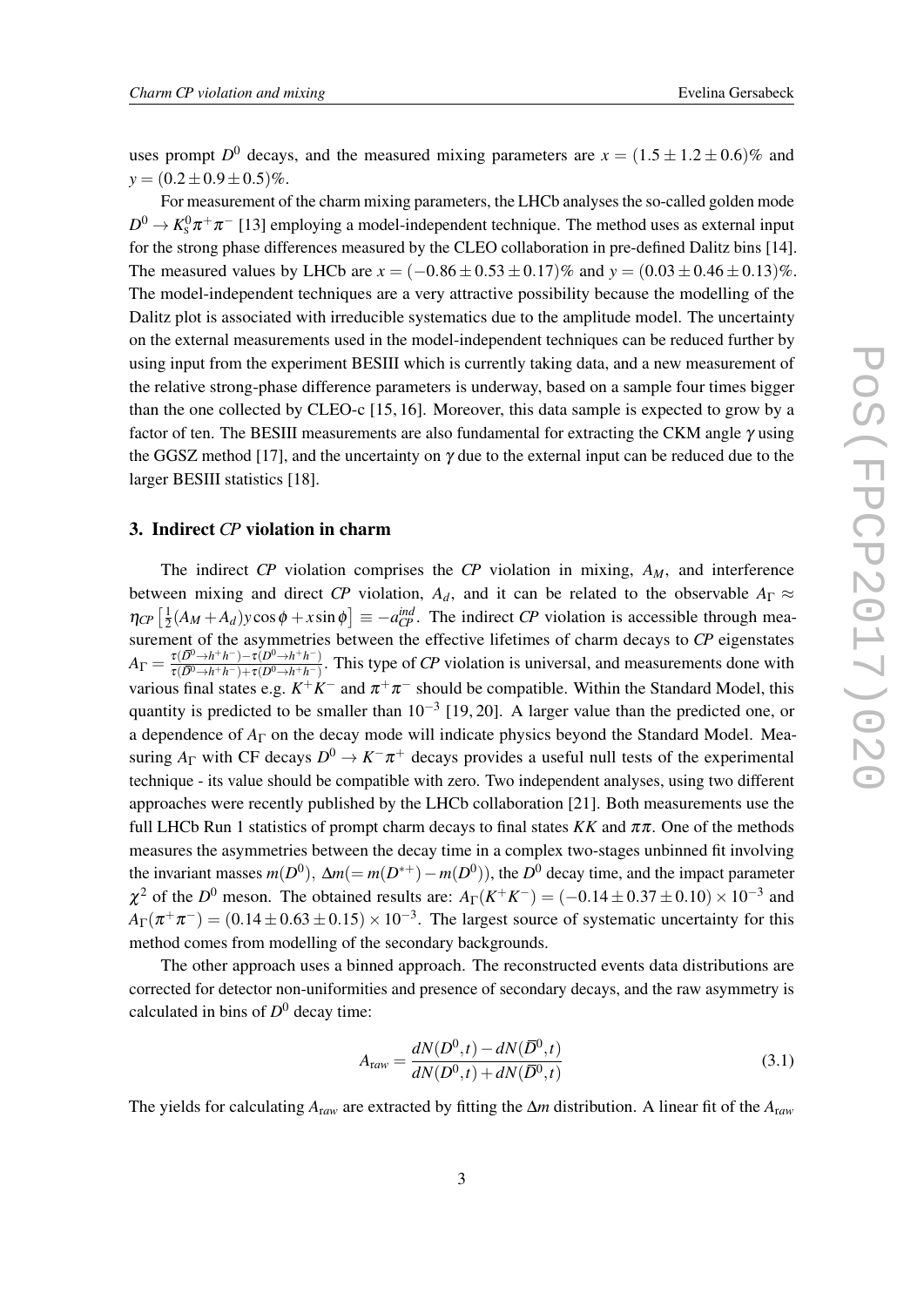uses prompt  $D^0$  decays, and the measured mixing parameters are  $x = (1.5 \pm 1.2 \pm 0.6)\%$  and  $y = (0.2 \pm 0.9 \pm 0.5)\%$ .

For measurement of the charm mixing parameters, the LHCb analyses the so-called golden mode  $D^0 \to K^0_s \pi^+ \pi^-$  [13] employing a model-independent technique. The method uses as external input for the strong phase differences measured by the CLEO collaboration in pre-defined Dalitz bins [14]. The measured values by LHCb are  $x = (-0.86 \pm 0.53 \pm 0.17)\%$  and  $y = (0.03 \pm 0.46 \pm 0.13)\%$ . The model-independent techniques are a very attractive possibility because the modelling of the Dalitz plot is associated with irreducible systematics due to the amplitude model. The uncertainty on the external measurements used in the model-independent techniques can be reduced further by using input from the experiment BESIII which is currently taking data, and a new measurement of the relative strong-phase difference parameters is underway, based on a sample four times bigger than the one collected by CLEO-c [15, 16]. Moreover, this data sample is expected to grow by a factor of ten. The BESIII measurements are also fundamental for extracting the CKM angle  $\gamma$  using the GGSZ method [17], and the uncertainty on  $\gamma$  due to the external input can be reduced due to the larger BESIII statistics [18].

#### 3. Indirect *CP* violation in charm

The indirect *CP* violation comprises the *CP* violation in mixing, *AM*, and interference between mixing and direct *CP* violation,  $A_d$ , and it can be related to the observable  $A_{\Gamma} \approx$  $\eta_{CP}$   $\left[\frac{1}{2}\right]$  $\frac{1}{2}(A_M + A_d)y\cos\phi + x\sin\phi$  =  $-a_{CP}^{ind}$ . The indirect *CP* violation is accessible through measurement of the asymmetries between the effective lifetimes of charm decays to *CP* eigenstates  $A_\Gamma=\frac{\tau(\bar D^0\to h^+h^-)-\tau(D^0\to h^+h^-)}{\tau(\bar D^0\to h^+h^-)+\tau(D^0\to h^+h^-)}$  $\frac{\tau(D^2\to h+h^-)-\tau(D^2\to h+h^-)}{\tau(D^0\to h+h^-)+\tau(D^0\to h+h^-)}$ . This type of *CP* violation is universal, and measurements done with various final states e.g.  $K^+K^-$  and  $\pi^+\pi^-$  should be compatible. Within the Standard Model, this quantity is predicted to be smaller than  $10^{-3}$  [19, 20]. A larger value than the predicted one, or a dependence of *A*<sup>Γ</sup> on the decay mode will indicate physics beyond the Standard Model. Measuring  $A_{\Gamma}$  with CF decays  $D^0 \to K^-\pi^+$  decays provides a useful null tests of the experimental technique - its value should be compatible with zero. Two independent analyses, using two different approaches were recently published by the LHCb collaboration [21]. Both measurements use the full LHCb Run 1 statistics of prompt charm decays to final states  $KK$  and  $\pi\pi$ . One of the methods measures the asymmetries between the decay time in a complex two-stages unbinned fit involving the invariant masses  $m(D^0)$ ,  $\Delta m (= m(D^{*+}) - m(D^0))$ , the  $D^0$  decay time, and the impact parameter  $\chi^2$  of the *D*<sup>0</sup> meson. The obtained results are:  $A_\Gamma(K^+K^-) = (-0.14 \pm 0.37 \pm 0.10) \times 10^{-3}$  and  $A_{\Gamma}(\pi^+\pi^-) = (0.14 \pm 0.63 \pm 0.15) \times 10^{-3}$ . The largest source of systematic uncertainty for this method comes from modelling of the secondary backgrounds.

The other approach uses a binned approach. The reconstructed events data distributions are corrected for detector non-uniformities and presence of secondary decays, and the raw asymmetry is calculated in bins of *D* <sup>0</sup> decay time:

$$
A_{\text{raw}} = \frac{dN(D^0, t) - dN(\bar{D}^0, t)}{dN(D^0, t) + dN(\bar{D}^0, t)}
$$
(3.1)

The yields for calculating *A*r*aw* are extracted by fitting the ∆*m* distribution. A linear fit of the *A*r*aw*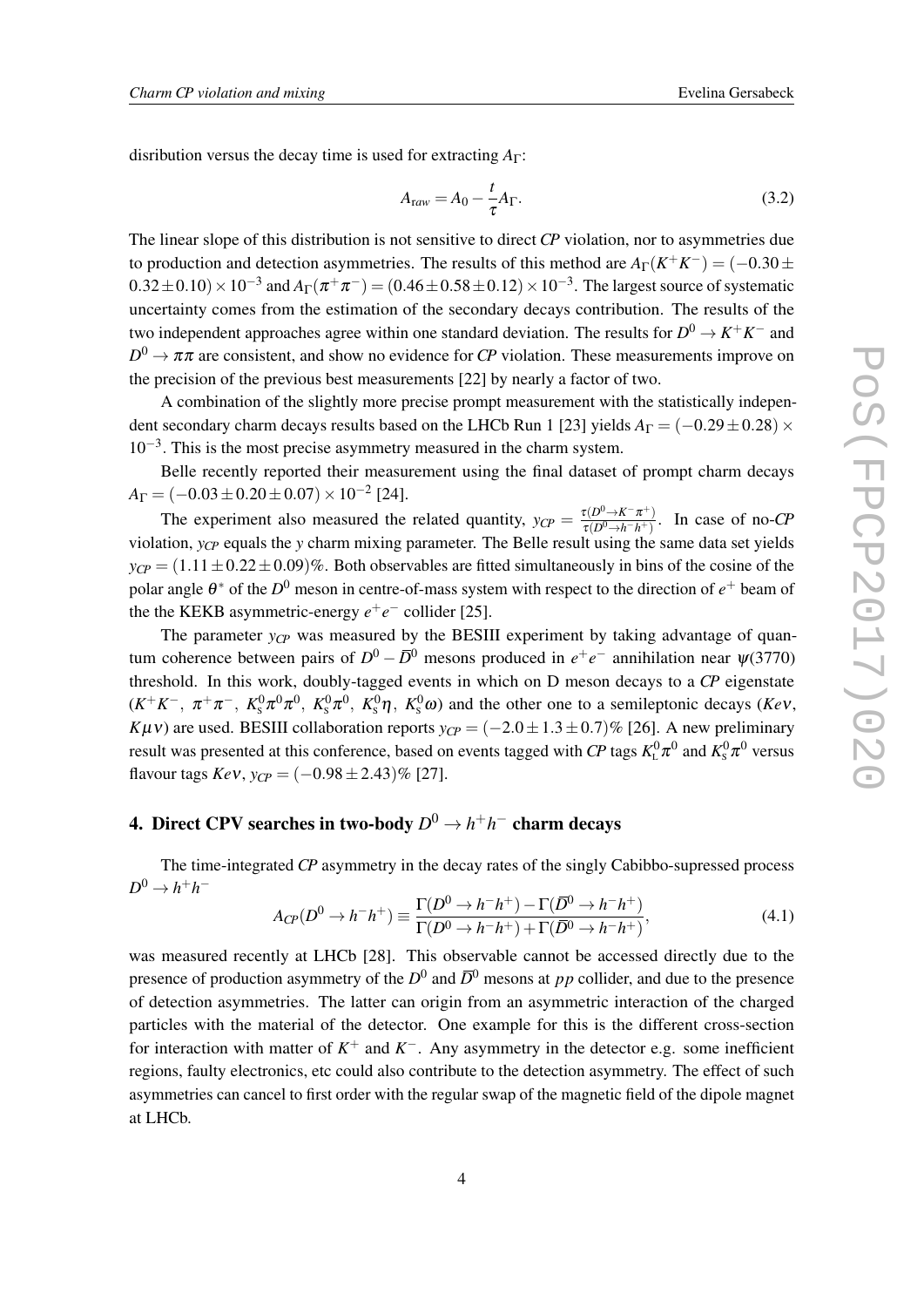disribution versus the decay time is used for extracting *A*<sub>Γ</sub>:

$$
A_{\text{raw}} = A_0 - \frac{t}{\tau} A_\Gamma. \tag{3.2}
$$

The linear slope of this distribution is not sensitive to direct *CP* violation, nor to asymmetries due to production and detection asymmetries. The results of this method are  $A_{\Gamma}(K^+K^-) = (-0.30 \pm 0.001)$  $(0.32 \pm 0.10) \times 10^{-3}$  and  $A_{\Gamma}(\pi^+\pi^-) = (0.46 \pm 0.58 \pm 0.12) \times 10^{-3}$ . The largest source of systematic uncertainty comes from the estimation of the secondary decays contribution. The results of the two independent approaches agree within one standard deviation. The results for  $D^0 \to K^+K^-$  and  $D^0 \to \pi\pi$  are consistent, and show no evidence for *CP* violation. These measurements improve on the precision of the previous best measurements [22] by nearly a factor of two.

A combination of the slightly more precise prompt measurement with the statistically independent secondary charm decays results based on the LHCb Run 1 [23] yields  $A_{\Gamma} = (-0.29 \pm 0.28) \times$ 10−<sup>3</sup> . This is the most precise asymmetry measured in the charm system.

Belle recently reported their measurement using the final dataset of prompt charm decays  $A_{\Gamma} = (-0.03 \pm 0.20 \pm 0.07) \times 10^{-2}$  [24].

The experiment also measured the related quantity,  $y_{CP} = \frac{\tau(D^0 \rightarrow K^- \pi^+)}{\tau(D^0 \rightarrow h^- h^+)}$  $\frac{\tau(D^2 \to K \pi^+)}{\tau(D^0 \to h^- h^+)}$ . In case of no-*CP* violation, *yCP* equals the *y* charm mixing parameter. The Belle result using the same data set yields  $y_{CP} = (1.11 \pm 0.22 \pm 0.09)\%$ . Both observables are fitted simultaneously in bins of the cosine of the polar angle  $\theta^*$  of the  $D^0$  meson in centre-of-mass system with respect to the direction of  $e^+$  beam of the the KEKB asymmetric-energy  $e^+e^-$  collider [25].

The parameter  $y_{CP}$  was measured by the BESIII experiment by taking advantage of quantum coherence between pairs of  $D^0 - \overline{D}^0$  mesons produced in  $e^+e^-$  annihilation near  $\psi$ (3770) threshold. In this work, doubly-tagged events in which on D meson decays to a *CP* eigenstate  $(K^+K^-$ ,  $\pi^+\pi^-$ ,  $K^0_s\pi^0\pi^0$ ,  $K^0_s\pi^0$ ,  $K^0_s\eta$ ,  $K^0_s\omega$ ) and the other one to a semileptonic decays (*Kev*, *K*µ $\nu$ ) are used. BESIII collaboration reports  $y_{C P} = (-2.0 \pm 1.3 \pm 0.7)\%$  [26]. A new preliminary result was presented at this conference, based on events tagged with *CP* tags  $K^0_\text{\tiny L}\pi^0$  and  $K^0_\text{\tiny S}\pi^0$  versus flavour tags  $KeV$ ,  $y_{CP} = (-0.98 \pm 2.43)\%$  [27].

# 4. Direct CPV searches in two-body *D* <sup>0</sup> → *h* +*h* <sup>−</sup> charm decays

The time-integrated *CP* asymmetry in the decay rates of the singly Cabibbo-supressed process  $D^0 \rightarrow h^+h^-$ 

$$
A_{CP}(D^0 \to h^-h^+) \equiv \frac{\Gamma(D^0 \to h^-h^+) - \Gamma(\overline{D}^0 \to h^-h^+)}{\Gamma(D^0 \to h^-h^+) + \Gamma(\overline{D}^0 \to h^-h^+)},\tag{4.1}
$$

was measured recently at LHCb [28]. This observable cannot be accessed directly due to the presence of production asymmetry of the  $D^0$  and  $\overline{D}^0$  mesons at *pp* collider, and due to the presence of detection asymmetries. The latter can origin from an asymmetric interaction of the charged particles with the material of the detector. One example for this is the different cross-section for interaction with matter of  $K^+$  and  $K^-$ . Any asymmetry in the detector e.g. some inefficient regions, faulty electronics, etc could also contribute to the detection asymmetry. The effect of such asymmetries can cancel to first order with the regular swap of the magnetic field of the dipole magnet at LHCb.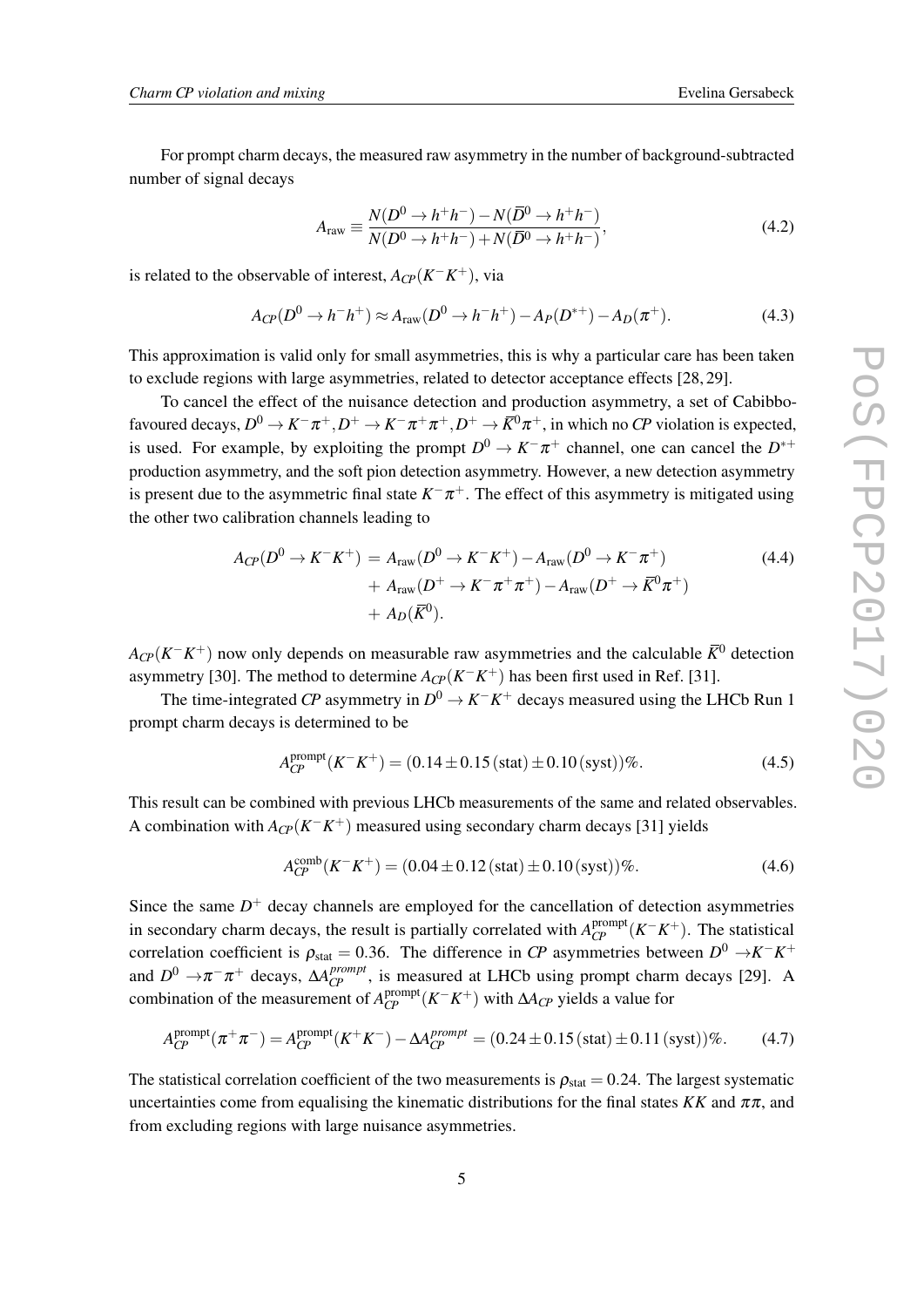For prompt charm decays, the measured raw asymmetry in the number of background-subtracted number of signal decays

$$
A_{\text{raw}} \equiv \frac{N(D^0 \to h^+ h^-) - N(\bar{D}^0 \to h^+ h^-)}{N(D^0 \to h^+ h^-) + N(\bar{D}^0 \to h^+ h^-)},
$$
(4.2)

is related to the observable of interest,  $A_{\mathbb{CP}}(K^-K^+)$ , via

$$
A_{CP}(D^0 \to h^-h^+) \approx A_{\text{raw}}(D^0 \to h^-h^+) - A_P(D^{*+}) - A_D(\pi^+). \tag{4.3}
$$

This approximation is valid only for small asymmetries, this is why a particular care has been taken to exclude regions with large asymmetries, related to detector acceptance effects [28, 29].

To cancel the effect of the nuisance detection and production asymmetry, a set of Cabibbofavoured decays,  $D^0 \to K^-\pi^+, D^+ \to K^-\pi^+\pi^+, D^+ \to \bar{K}^0\pi^+,$  in which no *CP* violation is expected, is used. For example, by exploiting the prompt  $D^0 \to K^-\pi^+$  channel, one can cancel the  $D^{*+}$ production asymmetry, and the soft pion detection asymmetry. However, a new detection asymmetry is present due to the asymmetric final state  $K^-\pi^+$ . The effect of this asymmetry is mitigated using the other two calibration channels leading to

$$
A_{CP}(D^{0} \to K^{-}K^{+}) = A_{\text{raw}}(D^{0} \to K^{-}K^{+}) - A_{\text{raw}}(D^{0} \to K^{-}\pi^{+}) + A_{\text{raw}}(D^{+} \to K^{-}\pi^{+}\pi^{+}) - A_{\text{raw}}(D^{+} \to \bar{K}^{0}\pi^{+}) + A_{D}(\bar{K}^{0}).
$$
 (4.4)

 $A_{C\!P}(K^-K^+)$  now only depends on measurable raw asymmetries and the calculable  $\bar K^0$  detection asymmetry [30]. The method to determine  $A_{\mathcal{CP}}(K^-K^+)$  has been first used in Ref. [31].

The time-integrated *CP* asymmetry in  $D^0 \to K^-K^+$  decays measured using the LHCb Run 1 prompt charm decays is determined to be

$$
A_{CP}^{\text{prompt}}(K^-K^+) = (0.14 \pm 0.15 \, (\text{stat}) \pm 0.10 \, (\text{syst}))\%.
$$

This result can be combined with previous LHCb measurements of the same and related observables. A combination with  $A_{\text{CP}}(K^-K^+)$  measured using secondary charm decays [31] yields

$$
A_{CP}^{\text{comb}}(K^-K^+) = (0.04 \pm 0.12 \, (\text{stat}) \pm 0.10 \, (\text{syst}))\%.
$$

Since the same  $D<sup>+</sup>$  decay channels are employed for the cancellation of detection asymmetries in secondary charm decays, the result is partially correlated with  $A_{CP}^{\text{prompt}}(K^-K^+)$ . The statistical correlation coefficient is  $\rho_{stat} = 0.36$ . The difference in *CP* asymmetries between  $D^0 \rightarrow K^- K^+$ and  $D^0 \rightarrow \pi^- \pi^+$  decays,  $\Delta A_{CP}^{prompt}$ , is measured at LHCb using prompt charm decays [29]. A combination of the measurement of  $A_{CP}^{\text{prompt}}(K^-K^+)$  with  $\Delta A_{CP}$  yields a value for

$$
A_{CP}^{\text{prompt}}(\pi^+\pi^-) = A_{CP}^{\text{prompt}}(K^+K^-) - \Delta A_{CP}^{\text{prompt}} = (0.24 \pm 0.15 \, (\text{stat}) \pm 0.11 \, (\text{syst}))\%.\tag{4.7}
$$

The statistical correlation coefficient of the two measurements is  $\rho_{stat} = 0.24$ . The largest systematic uncertainties come from equalising the kinematic distributions for the final states  $KK$  and  $\pi\pi$ , and from excluding regions with large nuisance asymmetries.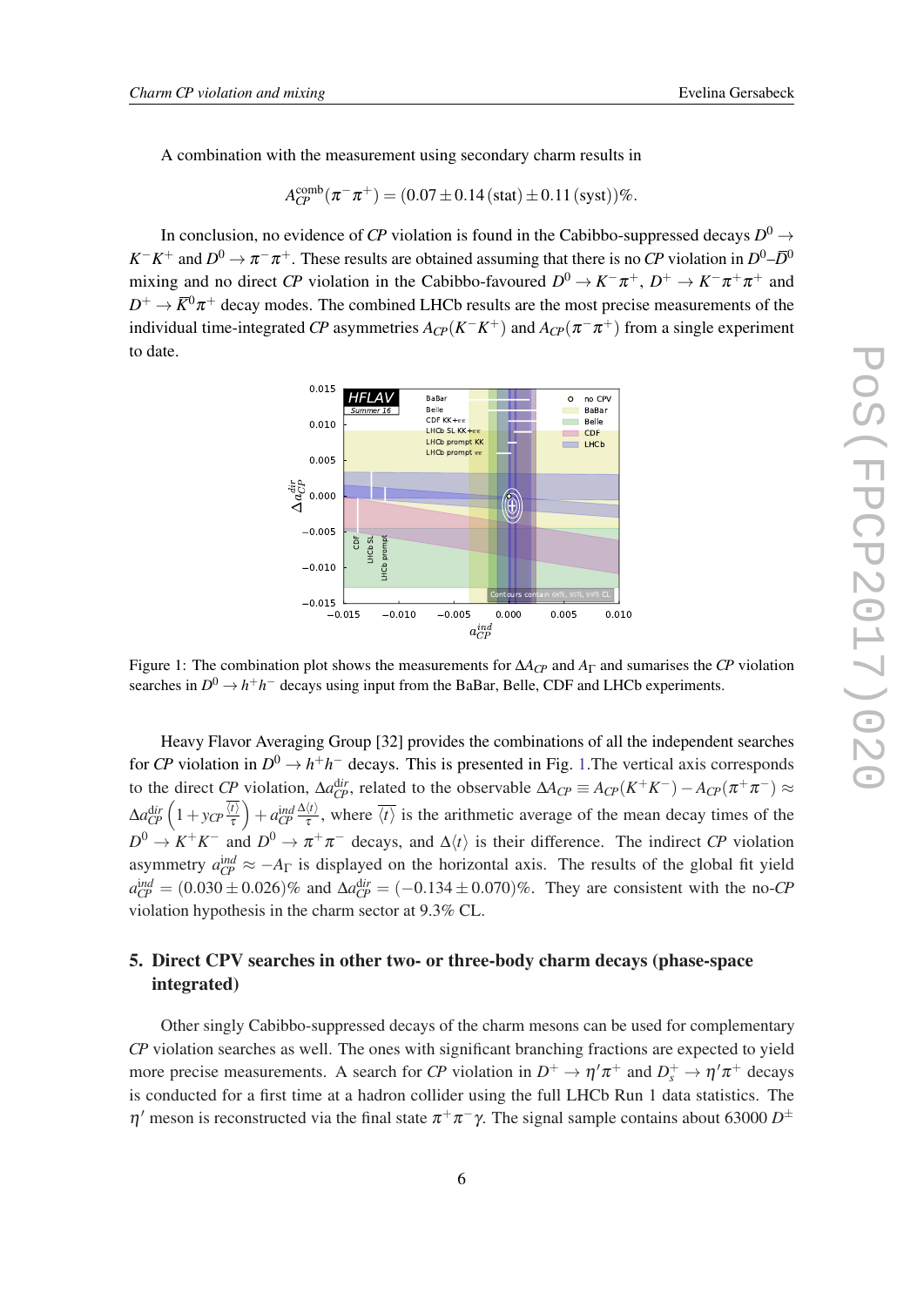A combination with the measurement using secondary charm results in

$$
A_{CP}^{\text{comb}}(\pi^- \pi^+) = (0.07 \pm 0.14 \, (\text{stat}) \pm 0.11 \, (\text{syst})) \%
$$

In conclusion, no evidence of CP violation is found in the Cabibbo-suppressed decays  $D^0 \rightarrow$  $K^-K^+$  and  $D^0 \to \pi^- \pi^+$ . These results are obtained assuming that there is no *CP* violation in  $D^0$ – $\bar{D}^0$ mixing and no direct *CP* violation in the Cabibbo-favoured  $D^0 \to K^-\pi^+$ ,  $D^+ \to K^-\pi^+\pi^+$  and  $D^+ \to \bar K^0 \pi^+$  decay modes. The combined LHCb results are the most precise measurements of the individual time-integrated *CP* asymmetries  $A_{C\!P}(K^-\overline{K}^+)$  and  $A_{C\!P}(\pi^-\pi^+)$  from a single experiment to date.



Figure 1: The combination plot shows the measurements for ∆*ACP* and *A*<sup>Γ</sup> and sumarises the *CP* violation searches in  $D^0 \to h^+h^-$  decays using input from the BaBar, Belle, CDF and LHCb experiments.

Heavy Flavor Averaging Group [32] provides the combinations of all the independent searches for *CP* violation in  $D^0 \to h^+h^-$  decays. This is presented in Fig. 1. The vertical axis corresponds to the direct *CP* violation,  $\Delta a_{CP}^{dir}$ , related to the observable  $\Delta A_{CP} \equiv A_{CP}(K^+K^-) - A_{CP}(\pi^+\pi^-) \approx$  $\Delta a_{CP}^{\mathrm dir} \left( 1+ y_{CP} \frac{\overline{\langle t \rangle}}{\tau} \right)$ τ  $\Big) + a_{CP}^{\text{ind}} \frac{\Delta \langle t \rangle}{\tau}$  $\frac{\partial f}{\partial t}$ , where  $\langle t \rangle$  is the arithmetic average of the mean decay times of the  $D^0 \to K^+K^-$  and  $D^0 \to \pi^+\pi^-$  decays, and  $\Delta\langle t \rangle$  is their difference. The indirect *CP* violation asymmetry  $a_{CP}^{ind} \approx -A_{\Gamma}$  is displayed on the horizontal axis. The results of the global fit yield  $a_{CP}^{ind} = (0.030 \pm 0.026)\%$  and  $\Delta a_{CP}^{dir} = (-0.134 \pm 0.070)\%$ . They are consistent with the no-*CP* violation hypothesis in the charm sector at 9.3% CL.

### 5. Direct CPV searches in other two- or three-body charm decays (phase-space integrated)

Other singly Cabibbo-suppressed decays of the charm mesons can be used for complementary *CP* violation searches as well. The ones with significant branching fractions are expected to yield more precise measurements. A search for *CP* violation in  $D^+ \to \eta' \pi^+$  and  $D_s^+ \to \eta' \pi^+$  decays is conducted for a first time at a hadron collider using the full LHCb Run 1 data statistics. The  $η'$  meson is reconstructed via the final state  $π+π-γ$ . The signal sample contains about 63000  $D^{\pm}$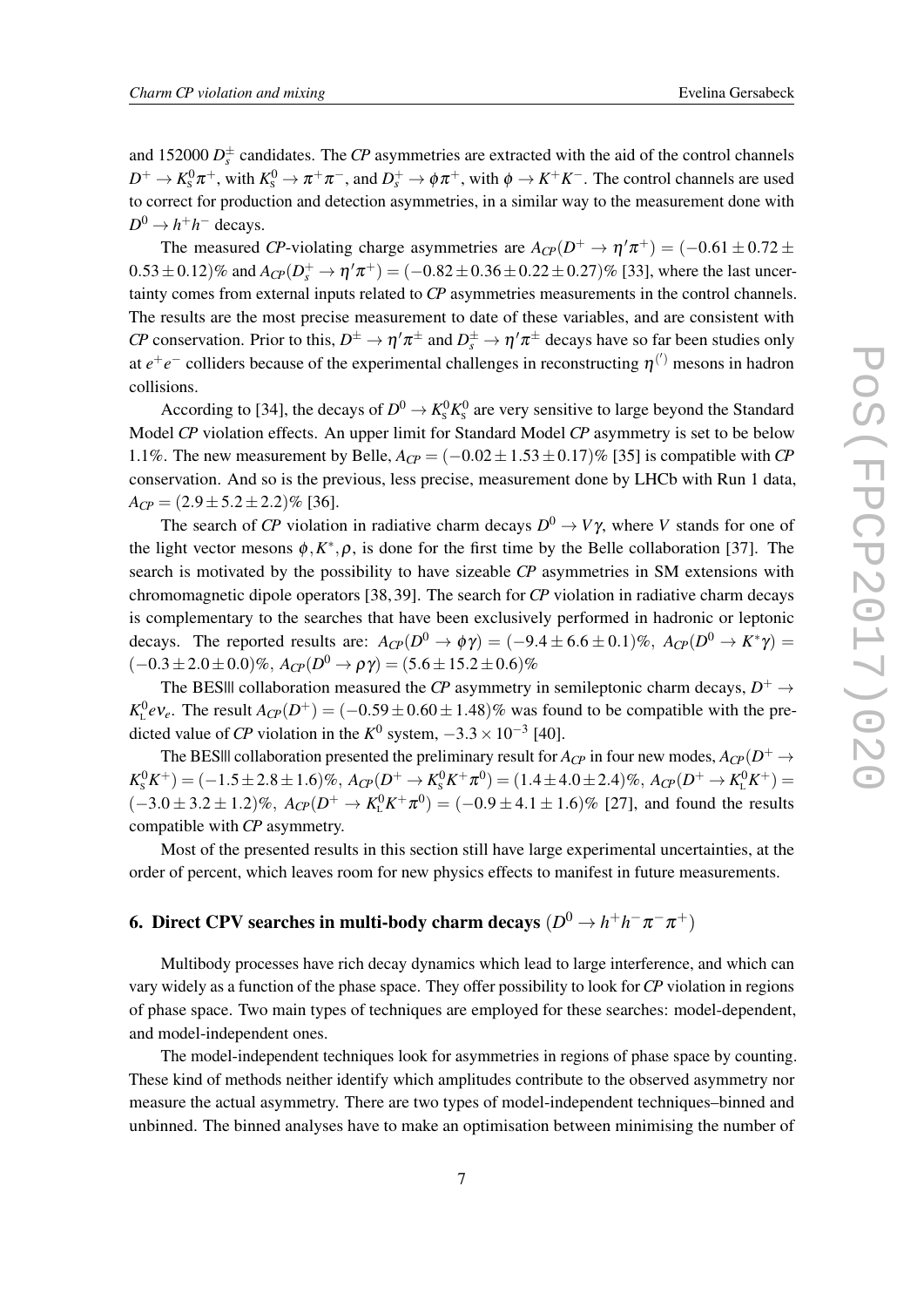and 152000  $D_s^{\pm}$  candidates. The *CP* asymmetries are extracted with the aid of the control channels  $D^+ \to K^0_s \pi^+$ , with  $K^0_s \to \pi^+ \pi^-$ , and  $D_s^+ \to \phi \pi^+$ , with  $\phi \to K^+ K^-$ . The control channels are used to correct for production and detection asymmetries, in a similar way to the measurement done with  $D^0 \to h^+h^-$  decays.

The measured *CP*-violating charge asymmetries are  $A_{CP}(D^+ \to \eta' \pi^+) = (-0.61 \pm 0.72 \pm 0.000)$  $0.53 \pm 0.12$ % and  $A_{CP}(D_s^+ \to \eta' \pi^+) = (-0.82 \pm 0.36 \pm 0.22 \pm 0.27)$ % [33], where the last uncertainty comes from external inputs related to *CP* asymmetries measurements in the control channels. The results are the most precise measurement to date of these variables, and are consistent with *CP* conservation. Prior to this,  $D^{\pm} \to \eta' \pi^{\pm}$  and  $D_s^{\pm} \to \eta' \pi^{\pm}$  decays have so far been studies only at  $e^+e^-$  colliders because of the experimental challenges in reconstructing  $\eta^{(')}$  mesons in hadron collisions.

According to [34], the decays of  $D^0 \to K^0_s K^0_s$  are very sensitive to large beyond the Standard Model *CP* violation effects. An upper limit for Standard Model *CP* asymmetry is set to be below 1.1%. The new measurement by Belle,  $A_{CP} = (-0.02 \pm 1.53 \pm 0.17)\%$  [35] is compatible with *CP* conservation. And so is the previous, less precise, measurement done by LHCb with Run 1 data,  $A_{CP} = (2.9 \pm 5.2 \pm 2.2)\%$  [36].

The search of *CP* violation in radiative charm decays  $D^0 \to V\gamma$ , where *V* stands for one of the light vector mesons  $\phi$ ,  $K^*$ ,  $\rho$ , is done for the first time by the Belle collaboration [37]. The search is motivated by the possibility to have sizeable *CP* asymmetries in SM extensions with chromomagnetic dipole operators [38, 39]. The search for *CP* violation in radiative charm decays is complementary to the searches that have been exclusively performed in hadronic or leptonic decays. The reported results are:  $A_{C\}P}(D^0 \to \phi \gamma) = (-9.4 \pm 6.6 \pm 0.1)\%$ ,  $A_{C\}P}(D^0 \to K^* \gamma) =$  $(-0.3±2.0±0.0)$ %,  $A_{CP}(D^0 → ργ) = (5.6±15.2±0.6)$ %

The BESIII collaboration measured the *CP* asymmetry in semileptonic charm decays,  $D^+ \rightarrow$  $K_{\text{L}}^0 eV_e$ . The result  $A_{\text{CP}}(D^+) = (-0.59 \pm 0.60 \pm 1.48)\%$  was found to be compatible with the predicted value of *CP* violation in the  $K^0$  system,  $-3.3 \times 10^{-3}$  [40].

The BES||| collaboration presented the preliminary result for  $A_{C\!P}$  in four new modes,  $A_{C\!P}(D^+\to$  $K_{\rm S}^0 K^+$ ) = (-1.5 ± 2.8 ± 1.6)%,  $A_{C\!P}(D^+ \to K_{\rm S}^0 K^+ \pi^0)$  = (1.4 ± 4.0 ± 2.4)%,  $A_{C\!P}(D^+ \to K_{\rm L}^0 K^+)$  =  $(-3.0 \pm 3.2 \pm 1.2)\%$ ,  $A_{CP}(D^+ \to K_L^0 K^+ \pi^0) = (-0.9 \pm 4.1 \pm 1.6)\%$  [27], and found the results compatible with *CP* asymmetry.

Most of the presented results in this section still have large experimental uncertainties, at the order of percent, which leaves room for new physics effects to manifest in future measurements.

# 6. Direct CPV searches in multi-body charm decays  $(D^0\!\rightarrow\! h^+h^-\pi^-\pi^+)$

Multibody processes have rich decay dynamics which lead to large interference, and which can vary widely as a function of the phase space. They offer possibility to look for*CP* violation in regions of phase space. Two main types of techniques are employed for these searches: model-dependent, and model-independent ones.

The model-independent techniques look for asymmetries in regions of phase space by counting. These kind of methods neither identify which amplitudes contribute to the observed asymmetry nor measure the actual asymmetry. There are two types of model-independent techniques–binned and unbinned. The binned analyses have to make an optimisation between minimising the number of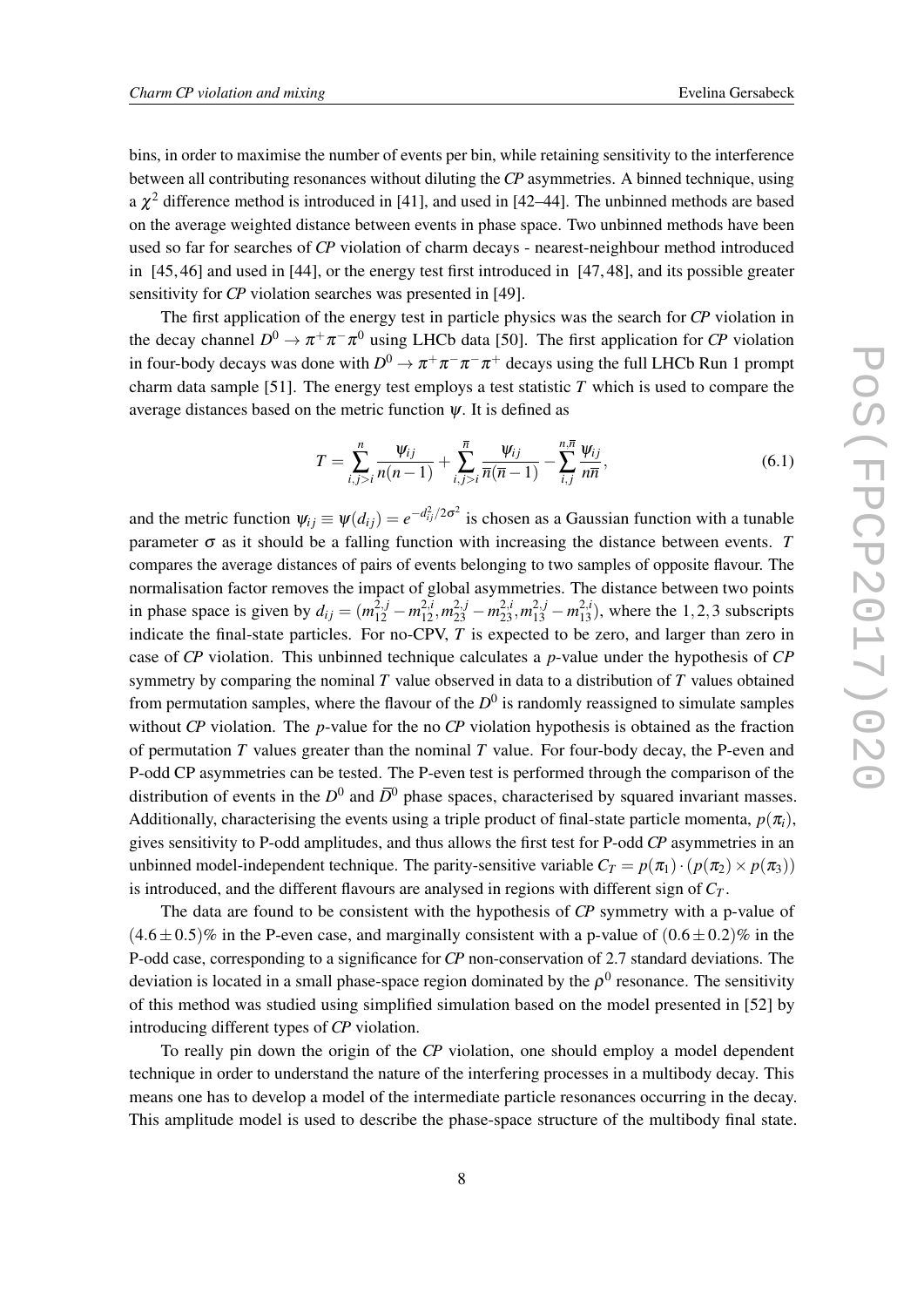bins, in order to maximise the number of events per bin, while retaining sensitivity to the interference between all contributing resonances without diluting the *CP* asymmetries. A binned technique, using a  $\chi^2$  difference method is introduced in [41], and used in [42–44]. The unbinned methods are based on the average weighted distance between events in phase space. Two unbinned methods have been used so far for searches of *CP* violation of charm decays - nearest-neighbour method introduced in [45, 46] and used in [44], or the energy test first introduced in [47, 48], and its possible greater sensitivity for *CP* violation searches was presented in [49].

The first application of the energy test in particle physics was the search for *CP* violation in the decay channel  $D^0 \to \pi^+ \pi^- \pi^0$  using LHCb data [50]. The first application for *CP* violation in four-body decays was done with  $D^0 \to \pi^+ \pi^- \pi^- \pi^+$  decays using the full LHCb Run 1 prompt charm data sample [51]. The energy test employs a test statistic *T* which is used to compare the average distances based on the metric function  $\psi$ . It is defined as

$$
T = \sum_{i,j>i}^{n} \frac{\psi_{ij}}{n(n-1)} + \sum_{i,j>i}^{\overline{n}} \frac{\psi_{ij}}{\overline{n}(\overline{n}-1)} - \sum_{i,j}^{n,\overline{n}} \frac{\psi_{ij}}{n\overline{n}},
$$
(6.1)

and the metric function  $\psi_{ij} \equiv \psi(d_{ij}) = e^{-d_{ij}^2/2\sigma^2}$  is chosen as a Gaussian function with a tunable parameter  $\sigma$  as it should be a falling function with increasing the distance between events. *T* compares the average distances of pairs of events belonging to two samples of opposite flavour. The normalisation factor removes the impact of global asymmetries. The distance between two points in phase space is given by  $d_{ij} = (m_{12}^{2,j} - m_{12}^{2,i}, m_{23}^{2,j} - m_{23}^{2,i}, m_{13}^{2,j} - m_{13}^{2,i})$ , where the 1,2,3 subscripts indicate the final-state particles. For no-CPV, *T* is expected to be zero, and larger than zero in case of *CP* violation. This unbinned technique calculates a *p*-value under the hypothesis of *CP* symmetry by comparing the nominal *T* value observed in data to a distribution of *T* values obtained from permutation samples, where the flavour of the  $D^0$  is randomly reassigned to simulate samples without *CP* violation. The *p*-value for the no *CP* violation hypothesis is obtained as the fraction of permutation *T* values greater than the nominal *T* value. For four-body decay, the P-even and P-odd CP asymmetries can be tested. The P-even test is performed through the comparison of the distribution of events in the  $D^0$  and  $\bar{D}^0$  phase spaces, characterised by squared invariant masses. Additionally, characterising the events using a triple product of final-state particle momenta,  $p(\pi_i)$ , gives sensitivity to P-odd amplitudes, and thus allows the first test for P-odd *CP* asymmetries in an unbinned model-independent technique. The parity-sensitive variable  $C_T = p(\pi_1) \cdot (p(\pi_2) \times p(\pi_3))$ is introduced, and the different flavours are analysed in regions with different sign of *C<sup>T</sup>* .

The data are found to be consistent with the hypothesis of *CP* symmetry with a p-value of  $(4.6\pm0.5)\%$  in the P-even case, and marginally consistent with a p-value of  $(0.6\pm0.2)\%$  in the P-odd case, corresponding to a significance for *CP* non-conservation of 2.7 standard deviations. The deviation is located in a small phase-space region dominated by the  $\rho^0$  resonance. The sensitivity of this method was studied using simplified simulation based on the model presented in [52] by introducing different types of *CP* violation.

To really pin down the origin of the *CP* violation, one should employ a model dependent technique in order to understand the nature of the interfering processes in a multibody decay. This means one has to develop a model of the intermediate particle resonances occurring in the decay. This amplitude model is used to describe the phase-space structure of the multibody final state.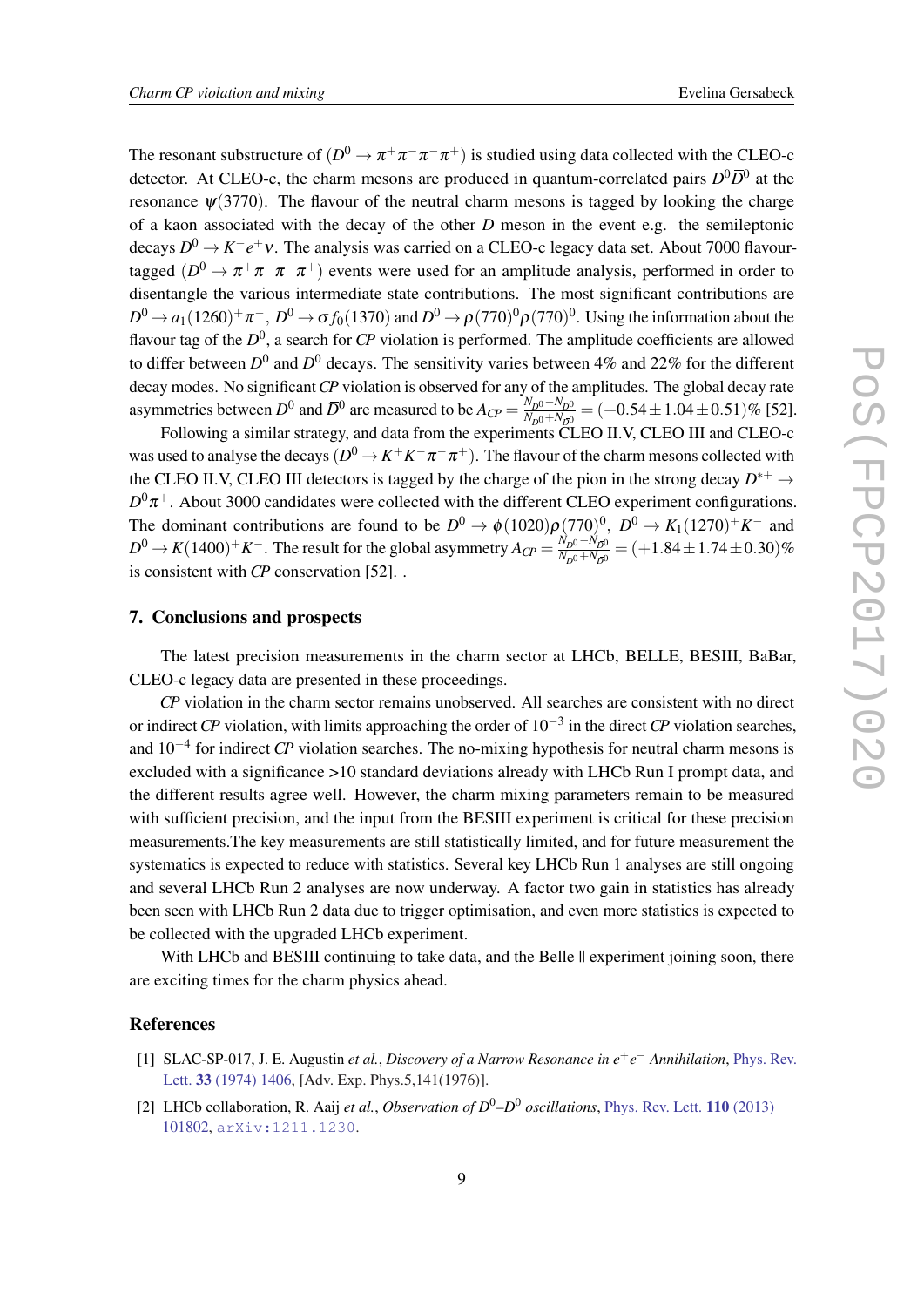The resonant substructure of  $(D^0 \to \pi^+ \pi^- \pi^- \pi^+)$  is studied using data collected with the CLEO-c detector. At CLEO-c, the charm mesons are produced in quantum-correlated pairs  $D^0\overline{D}^0$  at the resonance  $\psi(3770)$ . The flavour of the neutral charm mesons is tagged by looking the charge of a kaon associated with the decay of the other *D* meson in the event e.g. the semileptonic decays *D*<sup>0</sup> → *K*<sup>−</sup>*e*<sup>+</sup>*v*. The analysis was carried on a CLEO-c legacy data set. About 7000 flavourtagged  $(D^0 \to \pi^+ \pi^- \pi^- \pi^+)$  events were used for an amplitude analysis, performed in order to disentangle the various intermediate state contributions. The most significant contributions are  $D^0\to a_1(1260)^+\pi^-$  ,  $D^0\to\sigma f_0(1370)$  and  $D^0\to\rho$  (770) $^0\rho$  (770) $^0$ . Using the information about the flavour tag of the  $D^0$ , a search for *CP* violation is performed. The amplitude coefficients are allowed to differ between  $D^0$  and  $\bar{D}^0$  decays. The sensitivity varies between 4% and 22% for the different decay modes. No significant*CP* violation is observed for any of the amplitudes. The global decay rate asymmetries between  $D^0$  and  $\overline{D}^0$  are measured to be  $A_{CP} = \frac{N_{D^0} - N_{\overline{D}^0}}{N_{D^0} + N_{\overline{D}^0}}$  $\frac{N_{D}^{0} - N_{\bar{D}^{0}}^{0}}{N_{D}^{0} + N_{\bar{D}^{0}}} = (+0.54 \pm 1.04 \pm 0.51)\%$  [52].

Following a similar strategy, and data from the experiments CLEO II.V, CLEO III and CLEO-c was used to analyse the decays  $(D^0\!\to\! K^+K^-\pi^-\pi^+)$ . The flavour of the charm mesons collected with the CLEO II.V, CLEO III detectors is tagged by the charge of the pion in the strong decay  $D^{*+} \rightarrow$  $D^0\pi^+$ . About 3000 candidates were collected with the different CLEO experiment configurations. The dominant contributions are found to be  $D^0 \to \phi(1020)\rho(770)^0$ ,  $D^0 \to K_1(1270)^+K^-$  and  $D^0 \to K(1400)^+ K^-$ . The result for the global asymmetry  $A_{CP} = \frac{N_{D^0} - N_{D^0}}{N_{D^0} + N_{D^0}}$  $\frac{N_{D^0} - N_{D^0}}{N_{D^0} + N_{D^0}} = (+1.84 \pm 1.74 \pm 0.30)\%$ is consistent with *CP* conservation [52]. .

#### 7. Conclusions and prospects

The latest precision measurements in the charm sector at LHCb, BELLE, BESIII, BaBar, CLEO-c legacy data are presented in these proceedings.

*CP* violation in the charm sector remains unobserved. All searches are consistent with no direct or indirect *CP* violation, with limits approaching the order of 10−<sup>3</sup> in the direct *CP* violation searches, and 10−<sup>4</sup> for indirect *CP* violation searches. The no-mixing hypothesis for neutral charm mesons is excluded with a significance >10 standard deviations already with LHCb Run I prompt data, and the different results agree well. However, the charm mixing parameters remain to be measured with sufficient precision, and the input from the BESIII experiment is critical for these precision measurements.The key measurements are still statistically limited, and for future measurement the systematics is expected to reduce with statistics. Several key LHCb Run 1 analyses are still ongoing and several LHCb Run 2 analyses are now underway. A factor two gain in statistics has already been seen with LHCb Run 2 data due to trigger optimisation, and even more statistics is expected to be collected with the upgraded LHCb experiment.

With LHCb and BESIII continuing to take data, and the Belle  $\parallel$  experiment joining soon, there are exciting times for the charm physics ahead.

#### References

- [1] SLAC-SP-017, J. E. Augustin *et al.*, *Discovery of a Narrow Resonance in e* +*e* <sup>−</sup> *Annihilation*, [Phys. Rev.](http://dx.doi.org/10.1103/PhysRevLett.33.1406) Lett. 33 [\(1974\) 1406,](http://dx.doi.org/10.1103/PhysRevLett.33.1406) [Adv. Exp. Phys.5,141(1976)].
- [2] LHCb collaboration, R. Aaij *et al.*, *Observation of D*0*–D* <sup>0</sup> *oscillations*, [Phys. Rev. Lett.](http://dx.doi.org/10.1103/PhysRevLett.110.101802) 110 (2013) [101802](http://dx.doi.org/10.1103/PhysRevLett.110.101802), [arXiv:1211.1230](http://arxiv.org/abs/1211.1230).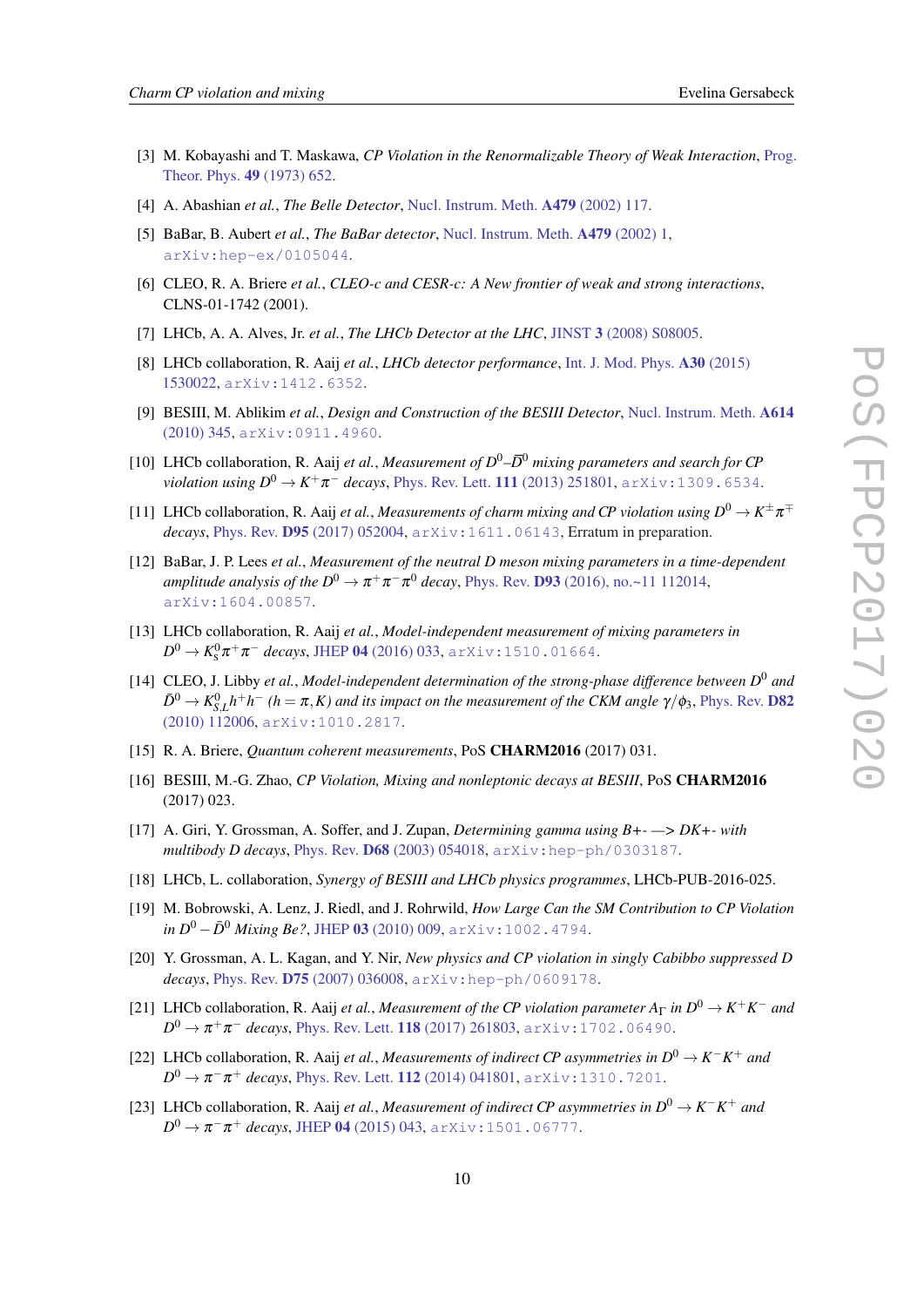- [3] M. Kobayashi and T. Maskawa, *CP Violation in the Renormalizable Theory of Weak Interaction*, [Prog.](http://dx.doi.org/10.1143/PTP.49.652) [Theor. Phys.](http://dx.doi.org/10.1143/PTP.49.652) 49 (1973) 652.
- [4] A. Abashian *et al.*, *The Belle Detector*, [Nucl. Instrum. Meth.](http://dx.doi.org/10.1016/S0168-9002(01)02013-7) A479 (2002) 117.
- [5] BaBar, B. Aubert *et al.*, *The BaBar detector*, [Nucl. Instrum. Meth.](http://dx.doi.org/10.1016/S0168-9002(01)02012-5) A479 (2002) 1, [arXiv:hep-ex/0105044](http://arxiv.org/abs/hep-ex/0105044).
- [6] CLEO, R. A. Briere *et al.*, *CLEO-c and CESR-c: A New frontier of weak and strong interactions*, CLNS-01-1742 (2001).
- [7] LHCb, A. A. Alves, Jr. *et al.*, *The LHCb Detector at the LHC*, JINST 3 [\(2008\) S08005.](http://dx.doi.org/10.1088/1748-0221/3/08/S08005)
- [8] LHCb collaboration, R. Aaij *et al.*, *LHCb detector performance*, [Int. J. Mod. Phys.](http://dx.doi.org/10.1142/S0217751X15300227) A30 (2015) [1530022](http://dx.doi.org/10.1142/S0217751X15300227), [arXiv:1412.6352](http://arxiv.org/abs/1412.6352).
- [9] BESIII, M. Ablikim *et al.*, *Design and Construction of the BESIII Detector*, [Nucl. Instrum. Meth.](http://dx.doi.org/10.1016/j.nima.2009.12.050) A614 [\(2010\) 345](http://dx.doi.org/10.1016/j.nima.2009.12.050), [arXiv:0911.4960](http://arxiv.org/abs/0911.4960).
- [10] LHCb collaboration, R. Aaij *et al.*, *Measurement of D*0*–D* <sup>0</sup> *mixing parameters and search for CP violation using*  $D^0 \to K^+ \pi^-$  *decays, [Phys. Rev. Lett.](http://dx.doi.org/10.1103/PhysRevLett.111.251801) 111 (2013) 251801,*  $\text{arXiv:}1309$ *. 6534.*
- [11] LHCb collaboration, R. Aaij *et al., Measurements of charm mixing and CP violation using*  $D^0 \to K^{\pm} \pi^{\mp}$ *decays*, Phys. Rev. D95 [\(2017\) 052004](http://dx.doi.org/10.1103/PhysRevD.95.052004), [arXiv:1611.06143](http://arxiv.org/abs/1611.06143), Erratum in preparation.
- [12] BaBar, J. P. Lees *et al.*, *Measurement of the neutral D meson mixing parameters in a time-dependent amplitude analysis of the*  $D^0 \to \pi^+\pi^-\pi^0$  *decay*, Phys. Rev. **D93** [\(2016\), no.~11 112014,](http://dx.doi.org/10.1103/PhysRevD.93.112014) [arXiv:1604.00857](http://arxiv.org/abs/1604.00857).
- [13] LHCb collaboration, R. Aaij *et al.*, *Model-independent measurement of mixing parameters in*  $D^0 \to K^0_S \pi^+ \pi^-$  *decays*, JHEP 04 [\(2016\) 033,](http://dx.doi.org/10.1007/JHEP04(2016)033) [arXiv:1510.01664](http://arxiv.org/abs/1510.01664).
- [14] CLEO, J. Libby *et al.*, *Model-independent determination of the strong-phase difference between D* <sup>0</sup> *and*  $\bar{D}^0 \to K_{S,L}^0 h^+h^-$  (h =  $\pi$ , K) and its impact on the measurement of the CKM angle  $\gamma/\phi_3$ , [Phys. Rev.](http://dx.doi.org/10.1103/PhysRevD.82.112006) D82 [\(2010\) 112006,](http://dx.doi.org/10.1103/PhysRevD.82.112006) [arXiv:1010.2817](http://arxiv.org/abs/1010.2817).
- [15] R. A. Briere, *Quantum coherent measurements*, PoS CHARM2016 (2017) 031.
- [16] BESIII, M.-G. Zhao, *CP Violation, Mixing and nonleptonic decays at BESIII*, PoS CHARM2016 (2017) 023.
- [17] A. Giri, Y. Grossman, A. Soffer, and J. Zupan, *Determining gamma using B+- —> DK+- with multibody D decays*, Phys. Rev. D68 [\(2003\) 054018,](http://dx.doi.org/10.1103/PhysRevD.68.054018) [arXiv:hep-ph/0303187](http://arxiv.org/abs/hep-ph/0303187).
- [18] LHCb, L. collaboration, *Synergy of BESIII and LHCb physics programmes*, LHCb-PUB-2016-025.
- [19] M. Bobrowski, A. Lenz, J. Riedl, and J. Rohrwild, *How Large Can the SM Contribution to CP Violation in*  $D^0 - \bar{D}^0$  *Mixing Be?*, JHEP 03 [\(2010\) 009](http://dx.doi.org/10.1007/JHEP03(2010)009), [arXiv:1002.4794](http://arxiv.org/abs/1002.4794).
- [20] Y. Grossman, A. L. Kagan, and Y. Nir, *New physics and CP violation in singly Cabibbo suppressed D decays*, Phys. Rev. D75 [\(2007\) 036008](http://dx.doi.org/10.1103/PhysRevD.75.036008), [arXiv:hep-ph/0609178](http://arxiv.org/abs/hep-ph/0609178).
- [21] LHCb collaboration, R. Aaij *et al., Measurement of the CP violation parameter*  $A_{\Gamma}$  *in*  $D^0 \to K^+K^-$  and  $D^0 \to \pi^+ \pi^-$  *decays*, [Phys. Rev. Lett.](http://dx.doi.org/10.1103/PhysRevLett.118.261803) **118** (2017) 261803, [arXiv:1702.06490](http://arxiv.org/abs/1702.06490).
- [22] LHCb collaboration, R. Aaij *et al., Measurements of indirect CP asymmetries in*  $D^0 \to K^-K^+$  *and*  $D^0 \to \pi^-\pi^+$  *decays*, [Phys. Rev. Lett.](http://dx.doi.org/10.1103/PhysRevLett.112.041801) **112** (2014) 041801, arXiv:1310 . 7201.
- [23] LHCb collaboration, R. Aaij *et al., Measurement of indirect CP asymmetries in*  $D^0 \to K^-K^+$  *and*  $D^0 \to \pi^-\pi^+$  *decays*, JHEP 04 [\(2015\) 043](http://dx.doi.org/10.1007/JHEP04(2015)043), [arXiv:1501.06777](http://arxiv.org/abs/1501.06777).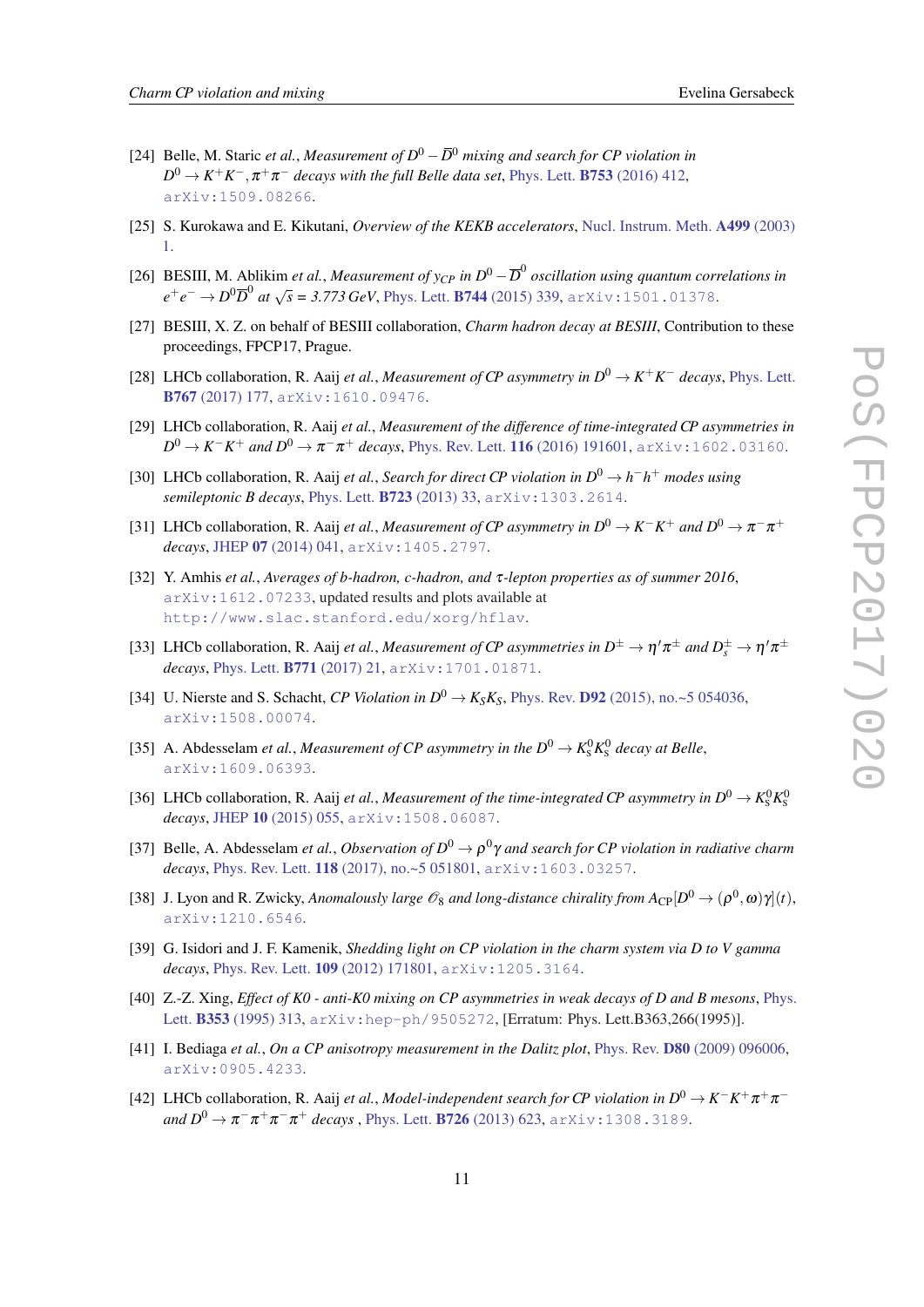- [24] Belle, M. Staric *et al.*, *Measurement of D*<sup>0</sup> −*D* <sup>0</sup> *mixing and search for CP violation in*  $D^0 \rightarrow K^+K^-, \pi^+\pi^-$  *decays with the full Belle data set*, Phys. Lett. **B753** [\(2016\) 412,](http://dx.doi.org/10.1016/j.physletb.2015.12.025) [arXiv:1509.08266](http://arxiv.org/abs/1509.08266).
- [25] S. Kurokawa and E. Kikutani, *Overview of the KEKB accelerators*, [Nucl. Instrum. Meth.](http://dx.doi.org/10.1016/S0168-9002(02)01771-0) A499 (2003) [1.](http://dx.doi.org/10.1016/S0168-9002(02)01771-0)
- [26] BESIII, M. Ablikim *et al., Measurement of y<sub>CP</sub> in*  $D^0 \overline{D}^0$  *oscillation using quantum correlations in e* + *e* − → *D*<sup>0</sup> $\overline{D}$ <sup>0</sup> *at*  $\sqrt{s}$  = 3.773 GeV, Phys. Lett. **B744** [\(2015\) 339,](http://dx.doi.org/10.1016/j.physletb.2015.04.008) [arXiv:1501.01378](http://arxiv.org/abs/1501.01378).
- [27] BESIII, X. Z. on behalf of BESIII collaboration, *Charm hadron decay at BESIII*, Contribution to these proceedings, FPCP17, Prague.
- [28] LHCb collaboration, R. Aaij *et al., Measurement of CP asymmetry in*  $D^0 \to K^+K^-$  *decays, [Phys. Lett.](http://dx.doi.org/10.1016/j.physletb.2017.01.061)* B767 [\(2017\) 177](http://dx.doi.org/10.1016/j.physletb.2017.01.061), [arXiv:1610.09476](http://arxiv.org/abs/1610.09476).
- [29] LHCb collaboration, R. Aaij *et al.*, *Measurement of the difference of time-integrated CP asymmetries in*  $D^0\to K^-K^+$  *and*  $D^0\to \pi^-\pi^+$  *decays,* [Phys. Rev. Lett.](http://dx.doi.org/10.1103/PhysRevLett.116.191601) **116** (2016) 191601, <code>[arXiv:1602.03160](http://arxiv.org/abs/1602.03160).</code>
- [30] LHCb collaboration, R. Aaij *et al.*, *Search for direct CP violation in*  $D^0 \to h^-h^+$  *modes using semileptonic B decays*, [Phys. Lett.](http://dx.doi.org/10.1016/j.physletb.2013.04.061) B723 (2013) 33, [arXiv:1303.2614](http://arxiv.org/abs/1303.2614).
- [31] LHCb collaboration, R. Aaij *et al., Measurement of CP asymmetry in*  $D^0 \to K^-K^+$  *and*  $D^0 \to \pi^- \pi^+$ *decays*, JHEP 07 [\(2014\) 041](http://dx.doi.org/10.1007/JHEP07(2014)041), [arXiv:1405.2797](http://arxiv.org/abs/1405.2797).
- [32] Y. Amhis *et al.*, *Averages of b-hadron, c-hadron, and* τ*-lepton properties as of summer 2016*, [arXiv:1612.07233](http://arxiv.org/abs/1612.07233), updated results and plots available at <http://www.slac.stanford.edu/xorg/hflav>.
- [33] LHCb collaboration, R. Aaij *et al., Measurement of CP asymmetries in*  $D^{\pm} \to \eta' \pi^{\pm}$  *and*  $D_s^{\pm} \to \eta' \pi^{\pm}$ *decays*, [Phys. Lett.](http://dx.doi.org/10.1016/j.physletb.2017.05.013) B771 (2017) 21, [arXiv:1701.01871](http://arxiv.org/abs/1701.01871).
- [34] U. Nierste and S. Schacht, *CP Violation in*  $D^0 \rightarrow K_S K_S$ , Phys. Rev. **D92** [\(2015\), no.~5 054036,](http://dx.doi.org/10.1103/PhysRevD.92.054036) [arXiv:1508.00074](http://arxiv.org/abs/1508.00074).
- [35] A. Abdesselam *et al., Measurement of CP asymmetry in the*  $D^0 \to K_S^0 K_S^0$  *decay at Belle*, [arXiv:1609.06393](http://arxiv.org/abs/1609.06393).
- [36] LHCb collaboration, R. Aaij *et al., Measurement of the time-integrated CP asymmetry in*  $D^0 \to K^0_S K^0_S$ *decays*, JHEP 10 [\(2015\) 055](http://dx.doi.org/10.1007/JHEP10(2015)055), [arXiv:1508.06087](http://arxiv.org/abs/1508.06087).
- [37] Belle, A. Abdesselam *et al., Observation of*  $D^0 \to \rho^0 \gamma$  *and search for CP violation in radiative charm decays*, Phys. Rev. Lett. 118 [\(2017\), no.~5 051801](http://dx.doi.org/10.1103/PhysRevLett.118.051801), [arXiv:1603.03257](http://arxiv.org/abs/1603.03257).
- [38] J. Lyon and R. Zwicky, *Anomalously large*  $\mathscr{O}_8$  *and long-distance chirality from*  $A_{\rm CP}[D^0 \to (\rho^0, \omega)\gamma](t)$ , [arXiv:1210.6546](http://arxiv.org/abs/1210.6546).
- [39] G. Isidori and J. F. Kamenik, *Shedding light on CP violation in the charm system via D to V gamma decays*, [Phys. Rev. Lett.](http://dx.doi.org/10.1103/PhysRevLett.109.171801) 109 (2012) 171801, [arXiv:1205.3164](http://arxiv.org/abs/1205.3164).
- [40] Z.-Z. Xing, *Effect of K0 anti-K0 mixing on CP asymmetries in weak decays of D and B mesons*, [Phys.](http://dx.doi.org/10.1016/0370-2693(95)92845-D, 10.1016/0370-2693(95)01281-0) Lett. B353 [\(1995\) 313](http://dx.doi.org/10.1016/0370-2693(95)92845-D, 10.1016/0370-2693(95)01281-0), [arXiv:hep-ph/9505272](http://arxiv.org/abs/hep-ph/9505272), [Erratum: Phys. Lett.B363,266(1995)].
- [41] I. Bediaga *et al.*, *On a CP anisotropy measurement in the Dalitz plot*, Phys. Rev. D80 [\(2009\) 096006](http://dx.doi.org/10.1103/PhysRevD.80.096006), [arXiv:0905.4233](http://arxiv.org/abs/0905.4233).
- [42] LHCb collaboration, R. Aaij *et al., Model-independent search for CP violation in*  $D^0 \to K^-K^+\pi^+\pi^$  $and D^{0} \rightarrow \pi^{-}\pi^{+}\pi^{-}\pi^{+}$  *decays* , Phys. Lett. **B726** [\(2013\) 623](http://dx.doi.org/10.1016/j.physletb.2013.09.011), [arXiv:1308.3189](http://arxiv.org/abs/1308.3189).